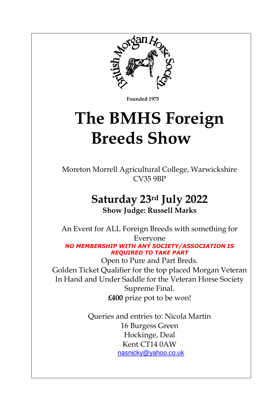

 **Founded 1975**

# **The BMHS Foreign Breeds Show**

Moreton Morrell Agricultural College, Warwickshire CV35 9BP

### **Saturday 23rd July 2022 Show Judge: Russell Marks**

An Event for ALL Foreign Breeds with something for Everyone *NO MEMBERSHIP WITH ANY SOCIETY/ASSOCIATION IS REQUIRED TO TAKE PART*  Open to Pure and Part Breds. Golden Ticket Qualifier for the top placed Morgan Veteran In Hand and Under Saddle for the Veteran Horse Society Supreme Final.

**£400** prize pot to be won!

Queries and entries to: Nicola Martin 16 Burgess Green Hockinge, Deal Kent CT14 0AW [nasnicky@yahoo.co.uk](mailto:nasnicky@yahoo.co.uk)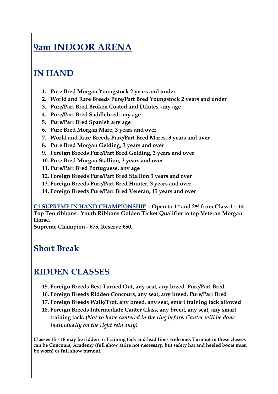## **9am INDOOR ARENA**

#### **IN HAND**

- **1. Pure Bred Morgan Youngstock 2 years and under**
- **2. World and Rare Breeds Pure/Part Bred Youngstock 2 years and under**
- **3. Pure/Part Bred Broken Coated and Dilutes, any age**
- **4. Pure/Part Bred Saddlebred, any age**
- **5. Pure/Part Bred Spanish any age**
- **6. Pure Bred Morgan Mare, 3 years and over**
- **7. World and Rare Breeds Pure/Part Bred Mares, 3 years and over**
- **8. Pure Bred Morgan Gelding, 3 years and over**
- **9. Foreign Breeds Pure/Part Bred Gelding, 3 years and over**
- **10. Pure Bred Morgan Stallion, 3 years and over**
- **11. Pure/Part Bred Portuguese, any age**
- **12. Foreign Breeds Pure/Part Bred Stallion 3 years and over**
- **13. Foreign Breeds Pure/Part Bred Hunter, 3 years and over**
- **14. Foreign Breeds Pure/Part Bred Veteran, 15 years and over**

**C1 SUPREME IN HAND CHAMPIONSHIP – Open to 1st and 2nd from Class 1 – 14 Top Ten ribbons. Youth Ribbons Golden Ticket Qualifier to top Veteran Morgan Horse.** 

**Supreme Champion - £75, Reserve £50.**

#### **Short Break**

#### **RIDDEN CLASSES**

- **15. Foreign Breeds Best Turned Out, any seat, any breed, Pure/Part Bred**
- **16. Foreign Breeds Ridden Concours, any seat, any breed, Pure/Part Bred**
- **17. Foreign Breeds Walk/Trot, any breed, any seat, smart training tack allowed**
- **18. Foreign Breeds Intermediate Canter Class, any breed, any seat, any smart training tack. (***Not to have cantered in the ring before. Canter will be done individually on the right rein only)*

**Classes 15 - 18 may be ridden in Training tack and lead lines welcome. Turnout in these classes can be Concours, Academy (full show attire not necessary, but safety hat and heeled boots must be worn) or full show turnout.**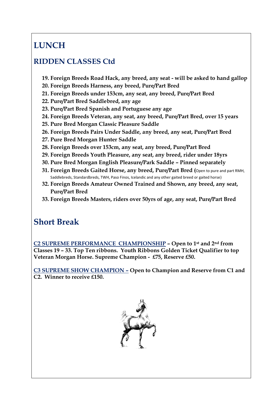#### **LUNCH**

#### **RIDDEN CLASSES Ctd**

- **19. Foreign Breeds Road Hack, any breed, any seat - will be asked to hand gallop**
- **20. Foreign Breeds Harness, any breed, Pure/Part Bred**
- **21. Foreign Breeds under 153cm, any seat, any breed, Pure/Part Bred**
- **22. Pure/Part Bred Saddlebred, any age**
- **23. Pure/Part Bred Spanish and Portuguese any age**
- **24. Foreign Breeds Veteran, any seat, any breed, Pure/Part Bred, over 15 years**
- **25. Pure Bred Morgan Classic Pleasure Saddle**
- **26. Foreign Breeds Pairs Under Saddle, any breed, any seat, Pure/Part Bred**
- **27. Pure Bred Morgan Hunter Saddle**
- **28. Foreign Breeds over 153cm, any seat, any breed, Pure/Part Bred**
- **29. Foreign Breeds Youth Pleasure, any seat, any breed, rider under 18yrs**
- **30. Pure Bred Morgan English Pleasure/Park Saddle – Pinned separately**
- **31. Foreign Breeds Gaited Horse, any breed, Pure/Part Bred (**Open to pure and part RMH, Saddlebreds, Standardbreds, TWH, Paso Finos, Icelandic and any other gaited breed or gaited horse)
- **32. Foreign Breeds Amateur Owned Trained and Shown, any breed, any seat, Pure/Part Bred**
- **33. Foreign Breeds Masters, riders over 50yrs of age, any seat, Pure/Part Bred**

#### **Short Break**

**C2 SUPREME PERFORMANCE CHAMPIONSHIP – Open to 1st and 2nd from Classes 19 – 33. Top Ten ribbons. Youth Ribbons Golden Ticket Qualifier to top Veteran Morgan Horse. Supreme Champion - £75, Reserve £50.**

**C3 SUPREME SHOW CHAMPION – Open to Champion and Reserve from C1 and C2. Winner to receive £150.**